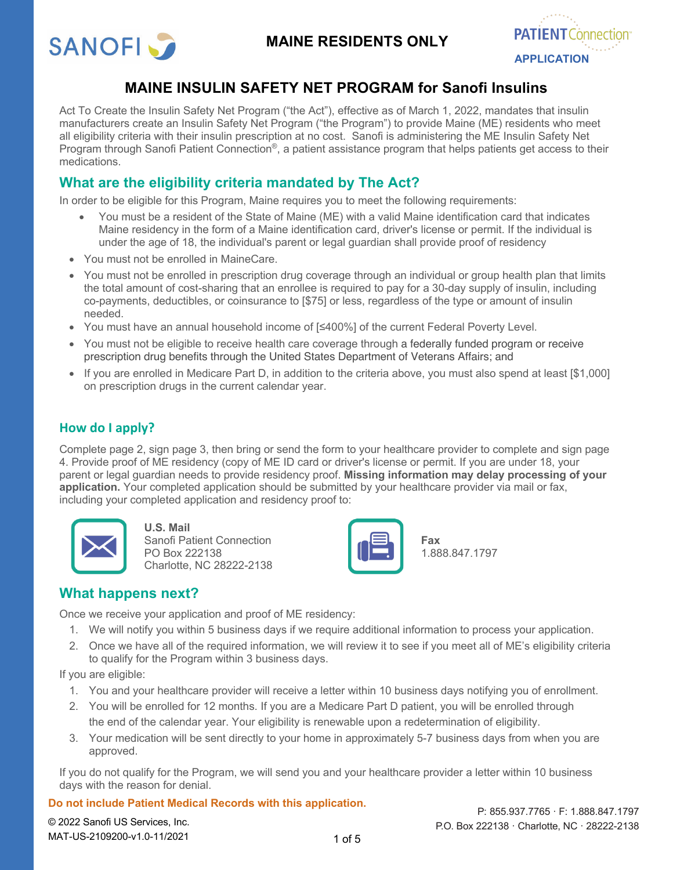

## **MAINE RESIDENTS ONLY**



## **MAINE INSULIN SAFETY NET PROGRAM for Sanofi Insulins**

Act To Create the Insulin Safety Net Program ("the Act"), effective as of March 1, 2022, mandates that insulin manufacturers create an Insulin Safety Net Program ("the Program") to provide Maine (ME) residents who meet all eligibility criteria with their insulin prescription at no cost. Sanofi is administering the ME Insulin Safety Net Program through Sanofi Patient Connection<sup>®</sup>, a patient assistance program that helps patients get access to their medications.

## **What are the eligibility criteria mandated by The Act?**

In order to be eligible for this Program, Maine requires you to meet the following requirements:

- You must be a resident of the State of Maine (ME) with a valid Maine identification card that indicates Maine residency in the form of a Maine identification card, driver's license or permit. If the individual is under the age of 18, the individual's parent or legal guardian shall provide proof of residency
- You must not be enrolled in MaineCare.
- You must not be enrolled in prescription drug coverage through an individual or group health plan that limits the total amount of cost-sharing that an enrollee is required to pay for a 30-day supply of insulin, including co-payments, deductibles, or coinsurance to [\$75] or less, regardless of the type or amount of insulin needed.
- You must have an annual household income of [≤400%] of the current Federal Poverty Level.
- You must not be eligible to receive health care coverage through a federally funded program or receive prescription drug benefits through the United States Department of Veterans Affairs; and
- If you are enrolled in Medicare Part D, in addition to the criteria above, you must also spend at least [\$1,000] on prescription drugs in the current calendar year.

## **How do I apply?**

Complete page 2, sign page 3, then bring or send the form to your healthcare provider to complete and sign page 4. Provide proof of ME residency (copy of ME ID card or driver's license or permit. If you are under 18, your parent or legal guardian needs to provide residency proof. **Missing information may delay processing of your application.** Your completed application should be submitted by your healthcare provider via mail or fax, including your completed application and residency proof to:



**U.S. Mail** Sanofi Patient Connection PO Box 222138 Charlotte, NC 28222-2138



**Fax** 1.888.847.1797

## **What happens next?**

Once we receive your application and proof of ME residency:

- 1. We will notify you within 5 business days if we require additional information to process your application.
- 2. Once we have all of the required information, we will review it to see if you meet all of ME's eligibility criteria to qualify for the Program within 3 business days.

If you are eligible:

- 1. You and your healthcare provider will receive a letter within 10 business days notifying you of enrollment.
- 2. You will be enrolled for 12 months. If you are a Medicare Part D patient, you will be enrolled through the end of the calendar year. Your eligibility is renewable upon a redetermination of eligibility.
- 3. Your medication will be sent directly to your home in approximately 5-7 business days from when you are approved.

If you do not qualify for the Program, we will send you and your healthcare provider a letter within 10 business days with the reason for denial.

## **Do not include Patient Medical Records with this application.**

© 2022 Sanofi US Services, Inc. MAT-US-2109200-v1.0-11/2021

1 of 5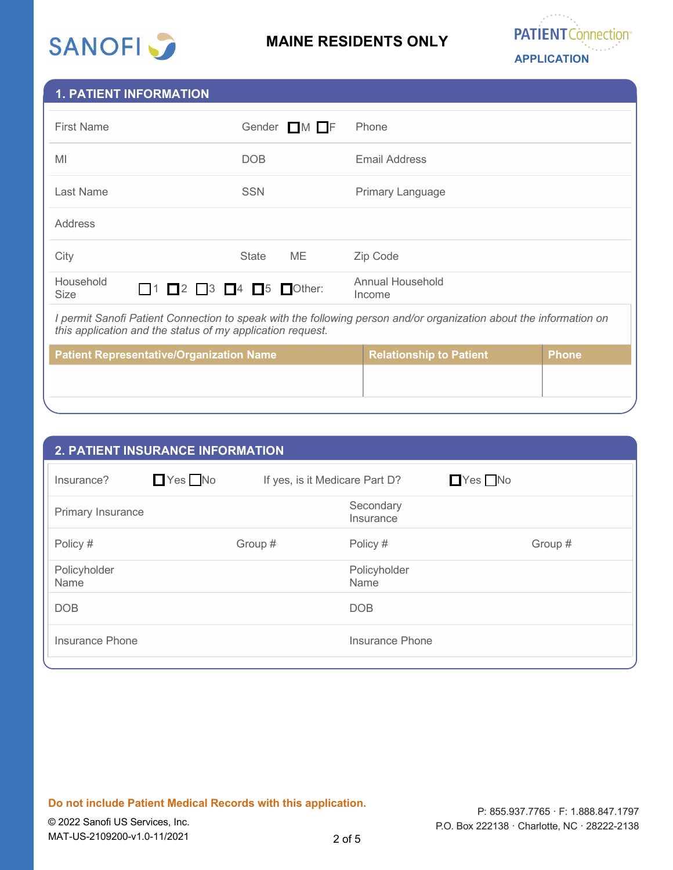

## **MAINE RESIDENTS ONLY**



## **1. PATIENT INFORMATION**

| <b>First Name</b>                                                                                                                                                                | Gender $\Box M$ $\Box F$ | Phone                          |              |  |
|----------------------------------------------------------------------------------------------------------------------------------------------------------------------------------|--------------------------|--------------------------------|--------------|--|
| MI                                                                                                                                                                               | DOB                      | Email Address                  |              |  |
| Last Name                                                                                                                                                                        | <b>SSN</b>               | Primary Language               |              |  |
| Address                                                                                                                                                                          |                          |                                |              |  |
| City                                                                                                                                                                             | ME<br><b>State</b>       | Zip Code                       |              |  |
| Household<br>$\Box$ 1 $\Box$ 2 $\Box$ 3 $\Box$ 4 $\Box$ 5 $\Box$ Other:<br><b>Size</b>                                                                                           |                          | Annual Household<br>Income     |              |  |
| I permit Sanofi Patient Connection to speak with the following person and/or organization about the information on<br>this application and the status of my application request. |                          |                                |              |  |
| <b>Patient Representative/Organization Name</b>                                                                                                                                  |                          | <b>Relationship to Patient</b> | <b>Phone</b> |  |
|                                                                                                                                                                                  |                          |                                |              |  |

| <b>2. PATIENT INSURANCE INFORMATION</b> |                      |                                |                        |                      |         |
|-----------------------------------------|----------------------|--------------------------------|------------------------|----------------------|---------|
| Insurance?                              | $\Box$ Yes $\Box$ No | If yes, is it Medicare Part D? |                        | $\Box$ Yes $\Box$ No |         |
| Primary Insurance                       |                      |                                | Secondary<br>Insurance |                      |         |
| Policy #                                |                      | Group #                        | Policy #               |                      | Group # |
| Policyholder<br>Name                    |                      |                                | Policyholder<br>Name   |                      |         |
| <b>DOB</b>                              |                      |                                | <b>DOB</b>             |                      |         |
| Insurance Phone                         |                      |                                | Insurance Phone        |                      |         |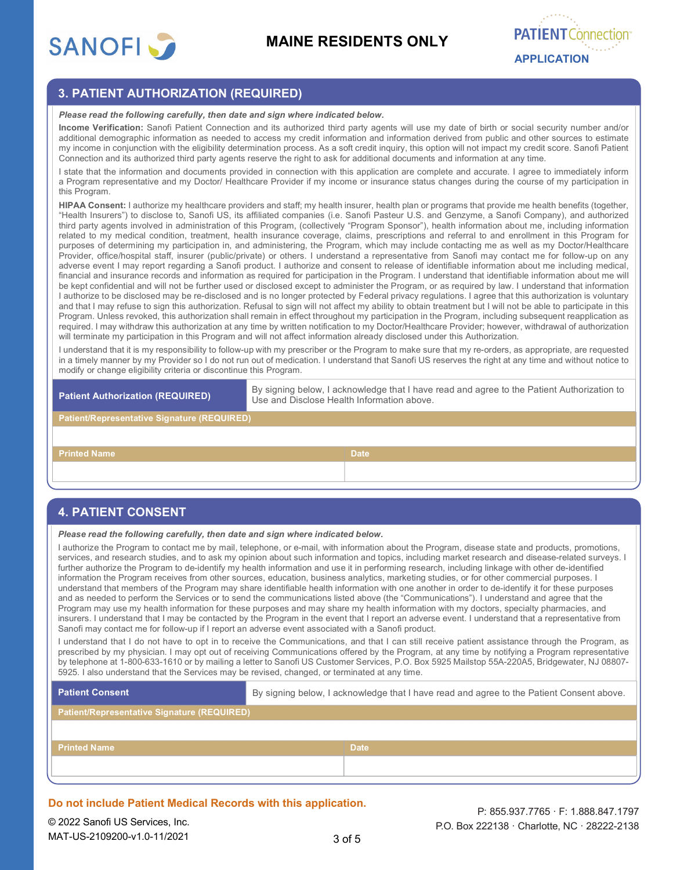

# **PATIENT Connect APPLICATION**

## **3. PATIENT AUTHORIZATION (REQUIRED)**

#### *Please read the following carefully, then date and sign where indicated below.*

**Income Verification:** Sanofi Patient Connection and its authorized third party agents will use my date of birth or social security number and/or additional demographic information as needed to access my credit information and information derived from public and other sources to estimate my income in conjunction with the eligibility determination process. As a soft credit inquiry, this option will not impact my credit score. Sanofi Patient Connection and its authorized third party agents reserve the right to ask for additional documents and information at any time.

I state that the information and documents provided in connection with this application are complete and accurate. I agree to immediately inform a Program representative and my Doctor/ Healthcare Provider if my income or insurance status changes during the course of my participation in this Program.

**HIPAA Consent:** I authorize my healthcare providers and staff; my health insurer, health plan or programs that provide me health benefits (together, "Health Insurers") to disclose to, Sanofi US, its affiliated companies (i.e. Sanofi Pasteur U.S. and Genzyme, a Sanofi Company), and authorized third party agents involved in administration of this Program, (collectively "Program Sponsor"), health information about me, including information related to my medical condition, treatment, health insurance coverage, claims, prescriptions and referral to and enrollment in this Program for purposes of determining my participation in, and administering, the Program, which may include contacting me as well as my Doctor/Healthcare Provider, office/hospital staff, insurer (public/private) or others. I understand a representative from Sanofi may contact me for follow-up on any adverse event I may report regarding a Sanofi product. I authorize and consent to release of identifiable information about me including medical, financial and insurance records and information as required for participation in the Program. I understand that identifiable information about me will be kept confidential and will not be further used or disclosed except to administer the Program, or as required by law. I understand that information I authorize to be disclosed may be re-disclosed and is no longer protected by Federal privacy regulations. I agree that this authorization is voluntary and that I may refuse to sign this authorization. Refusal to sign will not affect my ability to obtain treatment but I will not be able to participate in this Program. Unless revoked, this authorization shall remain in effect throughout my participation in the Program, including subsequent reapplication as required. I may withdraw this authorization at any time by written notification to my Doctor/Healthcare Provider; however, withdrawal of authorization will terminate my participation in this Program and will not affect information already disclosed under this Authorization.

I understand that it is my responsibility to follow-up with my prescriber or the Program to make sure that my re-orders, as appropriate, are requested in a timely manner by my Provider so I do not run out of medication. I understand that Sanofi US reserves the right at any time and without notice to modify or change eligibility criteria or discontinue this Program.

**Patient Authorization (REQUIRED)** By signing below, I acknowledge that I have read and agree to the Patient Authorization to Use and Disclose Health Information above.

#### **Patient/Representative Signature (REQUIRED)**

**Printed Name Date Date Date Date Date Date Date** 

## **4. PATIENT CONSENT**

*Please read the following carefully, then date and sign where indicated below.*

I authorize the Program to contact me by mail, telephone, or e-mail, with information about the Program, disease state and products, promotions, services, and research studies, and to ask my opinion about such information and topics, including market research and disease-related surveys. I further authorize the Program to de-identify my health information and use it in performing research, including linkage with other de-identified information the Program receives from other sources, education, business analytics, marketing studies, or for other commercial purposes. I understand that members of the Program may share identifiable health information with one another in order to de-identify it for these purposes and as needed to perform the Services or to send the communications listed above (the "Communications"). I understand and agree that the Program may use my health information for these purposes and may share my health information with my doctors, specialty pharmacies, and insurers. I understand that I may be contacted by the Program in the event that I report an adverse event. I understand that a representative from Sanofi may contact me for follow-up if I report an adverse event associated with a Sanofi product.

I understand that I do not have to opt in to receive the Communications, and that I can still receive patient assistance through the Program, as prescribed by my physician. I may opt out of receiving Communications offered by the Program, at any time by notifying a Program representative by telephone at 1-800-633-1610 or by mailing a letter to Sanofi US Customer Services, P.O. Box 5925 Mailstop 55A-220A5, Bridgewater, NJ 08807- 5925. I also understand that the Services may be revised, changed, or terminated at any time.

| By signing below, I acknowledge that I have read and agree to the Patient Consent above. |  |  |
|------------------------------------------------------------------------------------------|--|--|
| <b>Patient/Representative Signature (REQUIRED)</b>                                       |  |  |
|                                                                                          |  |  |
| <b>Date</b>                                                                              |  |  |
|                                                                                          |  |  |
|                                                                                          |  |  |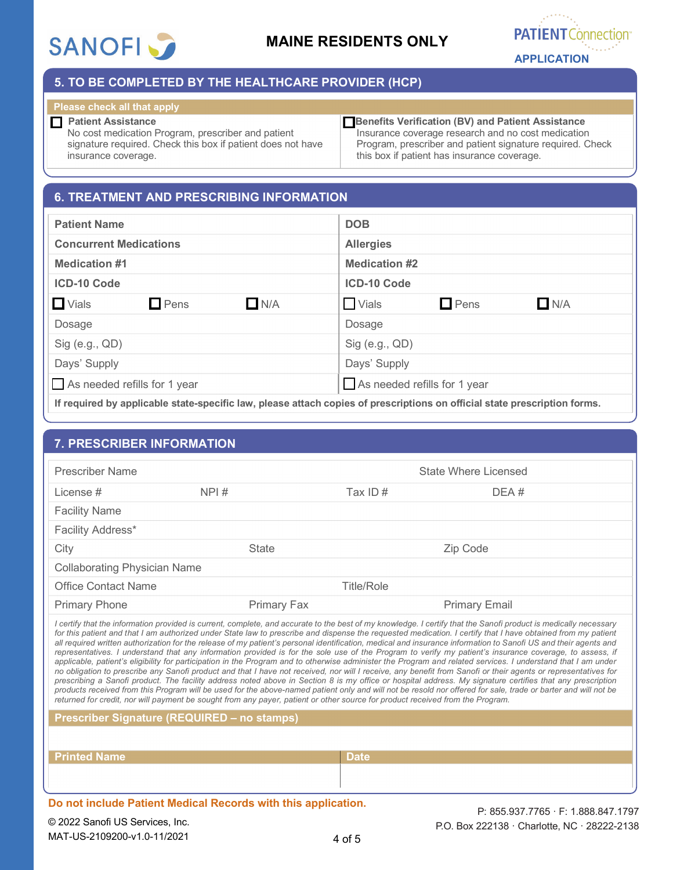

## **MAINE RESIDENTS ONLY**



## **5. TO BE COMPLETED BY THE HEALTHCARE PROVIDER (HCP)**

## **Please check all that apply**

 **Patient Assistance**  No cost medication Program, prescriber and patient signature required. Check this box if patient does not have insurance coverage.

 **Benefits Verification (BV) and Patient Assistance** Insurance coverage research and no cost medication Program, prescriber and patient signature required. Check this box if patient has insurance coverage.

## **6. TREATMENT AND PRESCRIBING INFORMATION**

| <b>Patient Name</b>                       | <b>DOB</b>                                |
|-------------------------------------------|-------------------------------------------|
| <b>Concurrent Medications</b>             | <b>Allergies</b>                          |
| <b>Medication #1</b>                      | <b>Medication #2</b>                      |
| <b>ICD-10 Code</b>                        | <b>ICD-10 Code</b>                        |
| $\Box$ Vials<br>$\Box$ Pens<br>$\Box$ N/A | $\Box$ N/A<br>$\Box$ Pens<br><b>Vials</b> |
| Dosage                                    | Dosage                                    |
| $Sig$ (e.g., $QD$ )                       | $Sig$ (e.g., $QD$ )                       |
| Days' Supply                              | Days' Supply                              |
| As needed refills for 1 year              | As needed refills for 1 year              |
| $-1$                                      |                                           |

**If required by applicable state-specific law, please attach copies of prescriptions on official state prescription forms.**

## **7. PRESCRIBER INFORMATION**

| <b>Prescriber Name</b>              |                    |                   | State Where Licensed |
|-------------------------------------|--------------------|-------------------|----------------------|
| License #                           | NPI#               | Tax ID $#$        | DEA#                 |
| <b>Facility Name</b>                |                    |                   |                      |
| Facility Address*                   |                    |                   |                      |
| City                                | <b>State</b>       |                   | Zip Code             |
| <b>Collaborating Physician Name</b> |                    |                   |                      |
| <b>Office Contact Name</b>          |                    | <b>Title/Role</b> |                      |
| <b>Primary Phone</b>                | <b>Primary Fax</b> |                   | <b>Primary Email</b> |

*I certify that the information provided is current, complete, and accurate to the best of my knowledge. I certify that the Sanofi product is medically necessary*  for this patient and that I am authorized under State law to prescribe and dispense the requested medication. I certify that I have obtained from my patient *all required written authorization for the release of my patient's personal identification, medical and insurance information to Sanofi US and their agents and representatives. I understand that any information provided is for the sole use of the Program to verify my patient's insurance coverage, to assess, if applicable, patient's eligibility for participation in the Program and to otherwise administer the Program and related services. I understand that I am under no obligation to prescribe any Sanofi product and that I have not received, nor will I receive, any benefit from Sanofi or their agents or representatives for prescribing a Sanofi product. The facility address noted above in Section 8 is my office or hospital address. My signature certifies that any prescription products received from this Program will be used for the above-named patient only and will not be resold nor offered for sale, trade or barter and will not be returned for credit, nor will payment be sought from any payer, patient or other source for product received from the Program.*

**Prescriber Signature (REQUIRED – no stamps)**

| <b>Printed Name</b> | <b>Date</b> |
|---------------------|-------------|
|                     |             |